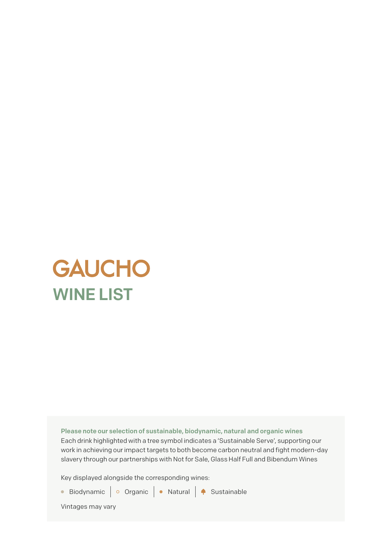

Please note our selection of sustainable, biodynamic, natural and organic wines Each drink highlighted with a tree symbol indicates a 'Sustainable Serve', supporting our work in achieving our impact targets to both become carbon neutral and fight modern-day slavery through our partnerships with Not for Sale, Glass Half Full and Bibendum Wines

Key displayed alongside the corresponding wines:



Vintages may vary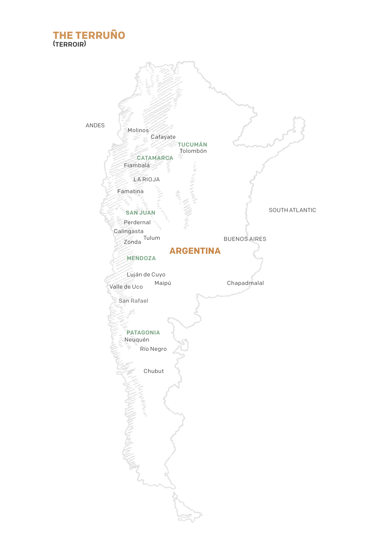# **THE TERRUNO**<br><sup>(TERROIR)</sup>

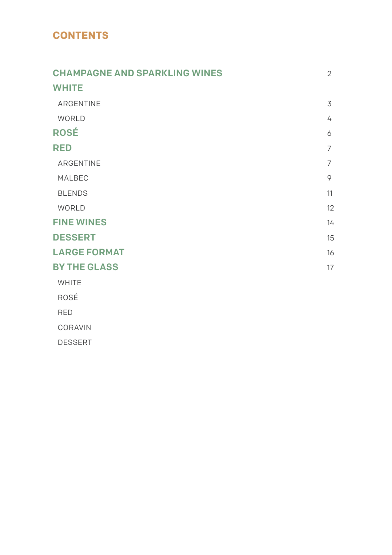### **CONTENTS**

| <b>CHAMPAGNE AND SPARKLING WINES</b> |                |  |
|--------------------------------------|----------------|--|
| <b>WHITE</b>                         |                |  |
| ARGENTINE                            | 3              |  |
| WORLD                                | 4              |  |
| <b>ROSÉ</b>                          | 6              |  |
| <b>RED</b>                           |                |  |
| ARGENTINE                            | $\overline{7}$ |  |
| MALBEC                               | 9              |  |
| <b>BLENDS</b>                        | 11             |  |
| WORLD                                | 12             |  |
| <b>FINE WINES</b>                    | 14             |  |
| <b>DESSERT</b>                       | 15             |  |
| <b>LARGE FORMAT</b>                  | 16             |  |
| <b>BY THE GLASS</b>                  | 17             |  |
| <b>WHITE</b>                         |                |  |
| ROSÉ                                 |                |  |
| <b>RED</b>                           |                |  |
| CORAVIN                              |                |  |
| <b>DESSERT</b>                       |                |  |
|                                      |                |  |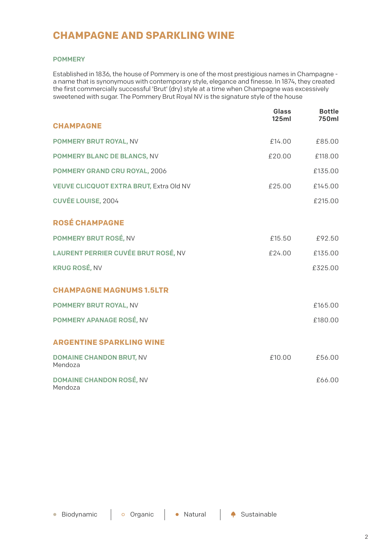### **CHAMPAGNE AND SPARKLING WINE**

#### POMMERY

Established in 1836, the house of Pommery is one of the most prestigious names in Champagne a name that is synonymous with contemporary style, elegance and finesse. In 1874, they created the first commercially successful 'Brut' (dry) style at a time when Champagne was excessively sweetened with sugar. The Pommery Brut Royal NV is the signature style of the house

|                                                | Glass<br>125ml | <b>Bottle</b><br>750ml |
|------------------------------------------------|----------------|------------------------|
| <b>CHAMPAGNE</b>                               |                |                        |
| POMMERY BRUT ROYAL, NV                         | £14.00         | £85.00                 |
| POMMERY BLANC DE BLANCS, NV                    | £20.00         | £118.00                |
| POMMERY GRAND CRU ROYAL, 2006                  |                | £135.00                |
| <b>VEUVE CLICQUOT EXTRA BRUT, Extra Old NV</b> | £25.00         | £145.00                |
| <b>CUVÉE LOUISE, 2004</b>                      |                | £215.00                |
| <b>ROSÉ CHAMPAGNE</b>                          |                |                        |
| POMMERY BRUT ROSÉ, NV                          | £15.50         | £92.50                 |
| LAURENT PERRIER CUVÉE BRUT ROSÉ, NV            | £24.00         | £135.00                |
| <b>KRUG ROSÉ, NV</b>                           |                | £325.00                |
| <b>CHAMPAGNE MAGNUMS 1.5LTR</b>                |                |                        |
| POMMERY BRUT ROYAL, NV                         |                | £165.00                |
| POMMERY APANAGE ROSÉ, NV                       |                | £180.00                |
| <b>ARGENTINE SPARKLING WINE</b>                |                |                        |
| <b>DOMAINE CHANDON BRUT, NV</b><br>Mendoza     | £10.00         | £56.00                 |
| DOMAINE CHANDON ROSÉ, NV<br>Mendoza            |                | £66.00                 |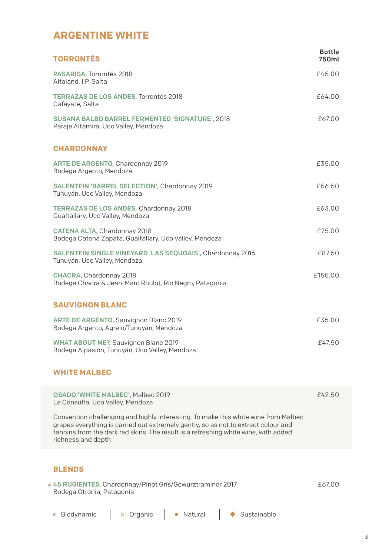## **ARGENTINE WHITE**

| <b>TORRONTÉS</b>                                                                          | <b>Bottle</b><br>750ml |
|-------------------------------------------------------------------------------------------|------------------------|
| PASARISA, Torrontés 2018<br>Altaland, I.P, Salta                                          | £45.00                 |
| <b>TERRAZAS DE LOS ANDES, Torrontés 2018</b><br>Cafayate, Salta                           | £64.00                 |
| SUSANA BALBO BARREL FERMENTED 'SIGNATURE', 2018<br>Paraje Altamira, Uco Valley, Mendoza   | £67.00                 |
| <b>CHARDONNAY</b>                                                                         |                        |
| ARTE DE ARGENTO, Chardonnay 2019<br>Bodega Argento, Mendoza                               | £35.00                 |
| SALENTEIN 'BARREL SELECTION', Chardonnay 2019<br>Tunuyán, Uco Valley, Mendoza             | £56.50                 |
| <b>TERRAZAS DE LOS ANDES, Chardonnay 2018</b><br>Gualtallary, Uco Valley, Mendoza         | £63.00                 |
| CATENA ALTA, Chardonnay 2018<br>Bodega Catena Zapata, Gualtallary, Uco Valley, Mendoza    | £75.00                 |
| SALENTEIN SINGLE VINEYARD 'LAS SEQUOAIS', Chardonnay 2016<br>Tunuyán, Uco Valley, Mendoza | £87.50                 |
| CHACRA, Chardonnay 2018<br>Bodega Chacra & Jean-Marc Roulot, Rio Negro, Patagonia         | £155.00                |
| <b>SAUVIGNON BLANC</b>                                                                    |                        |
| ARTE DE ARGENTO, Sauvignon Blanc 2019<br>Bodega Argento, Agrelo/Tunuyán, Mendoza          | £35.00                 |
| WHAT ABOUT ME?, Sauvignon Blanc 2019<br>Bodega Alpasión, Tunuyán, Uco Valley, Mendoza     | £47.50                 |
| <b>WHITE MALBEC</b>                                                                       |                        |

| OSADO 'WHITE MALBEC', Malbec 2019<br>La Consulta, Uco Valley, Mendoza                                                                                                                                                                                                                | £42.50 |
|--------------------------------------------------------------------------------------------------------------------------------------------------------------------------------------------------------------------------------------------------------------------------------------|--------|
| Convention challenging and highly interesting. To make this white wine from Malbec<br>grapes everything is carried out extremely gently, so as not to extract colour and<br>tannins from the dark red skins. The result is a refreshing white wine, with added<br>richness and depth |        |

#### **BLENDS**

| • 45 RUGIENTES, Chardonnay/Pinot Gris/Gewurztraminer 2017 | £67.00 |
|-----------------------------------------------------------|--------|
| Bodega Otronia, Patagonia                                 |        |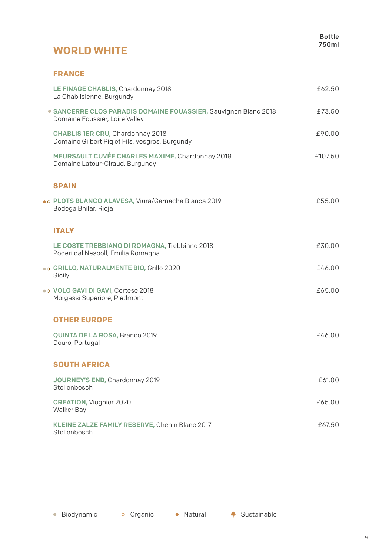### **WORLD WHITE**

#### **FRANCE**

| LE FINAGE CHABLIS, Chardonnay 2018<br>La Chablisienne, Burgundy                                   | £62.50  |
|---------------------------------------------------------------------------------------------------|---------|
| · SANCERRE CLOS PARADIS DOMAINE FOUASSIER, Sauvignon Blanc 2018<br>Domaine Foussier, Loire Valley | £73.50  |
| CHABLIS 1ER CRU, Chardonnay 2018<br>Domaine Gilbert Pig et Fils, Vosgros, Burgundy                | £90.00  |
| MEURSAULT CUVÉE CHARLES MAXIME, Chardonnay 2018<br>Domaine Latour-Giraud, Burgundy                | £107.50 |
| <b>SPAIN</b>                                                                                      |         |
| . PLOTS BLANCO ALAVESA, Viura/Garnacha Blanca 2019<br>Bodega Bhilar, Rioja                        | £55.00  |
| <b>ITALY</b>                                                                                      |         |
| LE COSTE TREBBIANO DI ROMAGNA, Trebbiano 2018<br>Poderi dal Nespoll, Emilia Romagna               | £30.00  |
| . GRILLO, NATURALMENTE BIO, Grillo 2020<br>Sicily                                                 | £46.00  |
| . VOLO GAVI DI GAVI, Cortese 2018<br>Morgassi Superiore, Piedmont                                 | £65.00  |
| <b>OTHER EUROPE</b>                                                                               |         |
| <b>QUINTA DE LA ROSA, Branco 2019</b><br>Douro, Portugal                                          | f4600   |
| <b>SOUTH AFRICA</b>                                                                               |         |
| JOURNEY'S END, Chardonnay 2019<br>Stellenbosch                                                    | £61.00  |
| <b>CREATION, Viognier 2020</b><br>Walker Bay                                                      | £65.00  |
| KLEINE ZALZE FAMILY RESERVE, Chenin Blanc 2017<br>Stellenbosch                                    | £67.50  |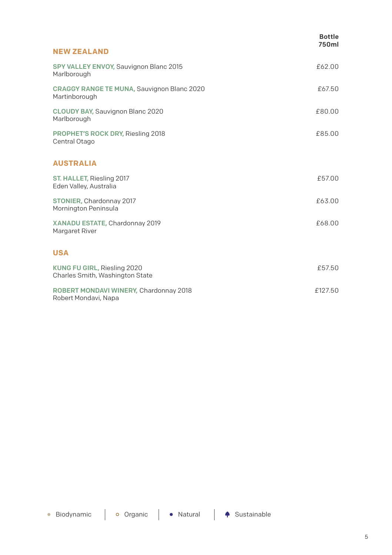|                                                                    | <b>Bottle</b><br>750ml |
|--------------------------------------------------------------------|------------------------|
| <b>NEW ZEALAND</b>                                                 |                        |
| SPY VALLEY ENVOY, Sauvignon Blanc 2015<br>Marlborough              | £62.00                 |
| <b>CRAGGY RANGE TE MUNA, Sauvignon Blanc 2020</b><br>Martinborough | £67.50                 |
| CLOUDY BAY, Sauvignon Blanc 2020<br>Marlborough                    | £80.00                 |
| PROPHET'S ROCK DRY, Riesling 2018<br>Central Otago                 | £85.00                 |
| <b>AUSTRALIA</b>                                                   |                        |
| ST. HALLET, Riesling 2017<br>Eden Valley, Australia                | £57.00                 |
| STONIER, Chardonnay 2017<br>Mornington Peninsula                   | £63.00                 |
| XANADU ESTATE, Chardonnay 2019<br>Margaret River                   | £68.00                 |
| <b>USA</b>                                                         |                        |
| KUNG FU GIRL, Riesling 2020<br>Charles Smith, Washington State     | £57.50                 |
| ROBERT MONDAVI WINERY, Chardonnay 2018<br>Robert Mondavi, Napa     | £127.50                |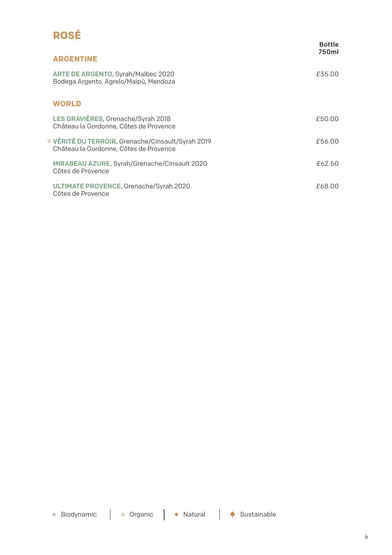# **ROSÉ**

|                                                                                             | <b>Bottle</b><br>750ml |
|---------------------------------------------------------------------------------------------|------------------------|
| <b>ARGENTINE</b>                                                                            |                        |
| ARTE DE ARGENTO, Syrah/Malbec 2020<br>Bodega Argento, Agrelo/Maipú, Mendoza                 | £35.00                 |
| <b>WORLD</b>                                                                                |                        |
| LES GRAVIÈRES, Grenache/Syrah 2018<br>Château la Gordonne, Côtes de Provence                | £50.00                 |
| VÉRITÉ DU TERROIR, Grenache/Cinsault/Syrah 2019 ا<br>Château la Gordonne. Côtes de Provence | £56.00                 |
| MIRABEAU AZURE, Syrah/Grenache/Cinsault 2020<br>Côtes de Provence                           | £62.50                 |
| ULTIMATE PROVENCE, Grenache/Syrah 2020<br>Côtes de Provence                                 | £68.00                 |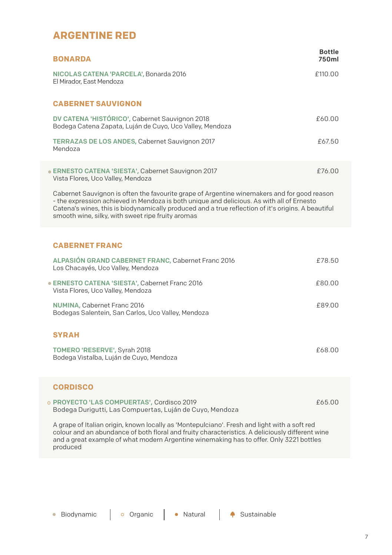#### **ARGENTINE RED**

| <b>BONARDA</b>                                                                                                                                                                                                                                                                                                                                      | <b>Bottle</b><br>750ml |
|-----------------------------------------------------------------------------------------------------------------------------------------------------------------------------------------------------------------------------------------------------------------------------------------------------------------------------------------------------|------------------------|
| NICOLAS CATENA 'PARCELA', Bonarda 2016<br>El Mirador. East Mendoza                                                                                                                                                                                                                                                                                  | £110.00                |
| <b>CABERNET SAUVIGNON</b>                                                                                                                                                                                                                                                                                                                           |                        |
| DV CATENA 'HISTÓRICO', Cabernet Sauvignon 2018<br>Bodega Catena Zapata, Luján de Cuyo, Uco Valley, Mendoza                                                                                                                                                                                                                                          | £60.00                 |
| <b>TERRAZAS DE LOS ANDES, Cabernet Sauvignon 2017</b><br>Mendoza                                                                                                                                                                                                                                                                                    | £67.50                 |
| • ERNESTO CATENA 'SIESTA', Cabernet Sauvignon 2017<br>Vista Flores, Uco Valley, Mendoza                                                                                                                                                                                                                                                             | £76.00                 |
| Cabernet Sauvignon is often the favourite grape of Argentine winemakers and for good reason<br>- the expression achieved in Mendoza is both unique and delicious. As with all of Ernesto<br>Catena's wines, this is biodynamically produced and a true reflection of it's origins. A beautiful<br>smooth wine, silky, with sweet ripe fruity aromas |                        |
| <b>CABERNET FRANC</b>                                                                                                                                                                                                                                                                                                                               |                        |
| ALPASIÓN GRAND CABERNET FRANC, Cabernet Franc 2016<br>Los Chacayés, Uco Valley, Mendoza                                                                                                                                                                                                                                                             | £78.50                 |
| · ERNESTO CATENA 'SIESTA', Cabernet Franc 2016<br>Vista Flores, Uco Valley, Mendoza                                                                                                                                                                                                                                                                 | £80.00                 |
| NUMINA, Cabernet Franc 2016<br>Bodegas Salentein, San Carlos, Uco Valley, Mendoza                                                                                                                                                                                                                                                                   | £89.00                 |
| <b>SYRAH</b>                                                                                                                                                                                                                                                                                                                                        |                        |
| TOMERO 'RESERVE', Syrah 2018<br>Bodega Vistalba, Luján de Cuyo, Mendoza                                                                                                                                                                                                                                                                             | £68.00                 |
| <b>CORDISCO</b>                                                                                                                                                                                                                                                                                                                                     |                        |
| o PROYECTO 'LAS COMPUERTAS', Cordisco 2019<br>Bodega Durigutti, Las Compuertas, Luján de Cuyo, Mendoza                                                                                                                                                                                                                                              | £65.00                 |
| A grape of Italian origin, known locally as 'Montepulciano'. Fresh and light with a soft red<br>colour and an abundance of both floral and fruity characteristics. A deliciously different wine<br>and a great example of what modern Argentine winemaking has to offer. Only 3221 bottles<br>produced                                              |                        |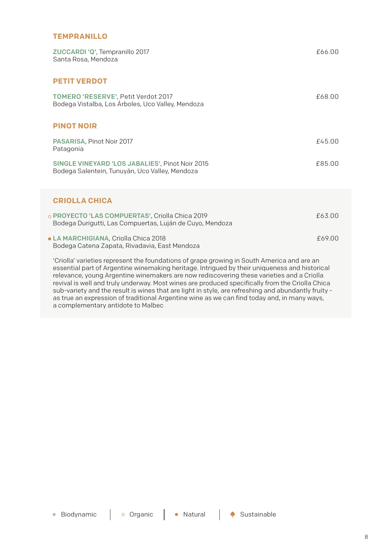#### **TEMPRANILLO**

| ZUCCARDI 'Q', Tempranillo 2017<br>Santa Rosa, Mendoza                                                                                                                                                              | £66.00 |
|--------------------------------------------------------------------------------------------------------------------------------------------------------------------------------------------------------------------|--------|
| <b>PETIT VERDOT</b>                                                                                                                                                                                                |        |
| TOMERO 'RESERVE', Petit Verdot 2017<br>Bodega Vistalba, Los Árboles, Uco Valley, Mendoza                                                                                                                           | £68.00 |
| <b>PINOT NOIR</b>                                                                                                                                                                                                  |        |
| PASARISA, Pinot Noir 2017<br>Patagonia                                                                                                                                                                             | £45.00 |
| SINGLE VINEYARD 'LOS JABALIES', Pinot Noir 2015<br>Bodega Salentein, Tunuyán, Uco Valley, Mendoza                                                                                                                  | £85.00 |
| <b>CRIOLLA CHICA</b>                                                                                                                                                                                               |        |
| PROYECTO 'LAS COMPUERTAS', Criolla Chica 2019<br>Bodega Durigutti, Las Compuertas, Luján de Cuyo, Mendoza                                                                                                          | £63.00 |
| LA MARCHIGIANA, Criolla Chica 2018<br>Bodega Catena Zapata, Rivadavia, East Mendoza                                                                                                                                | £69.00 |
| 'Criolla' varieties represent the foundations of grape growing in South America and are an<br>a contribuiron de Andreu eta artea de artea diturcita de la fantaleza il les nivestas de decedera de la fantaleza de |        |

essential part of Argentine winemaking heritage. Intrigued by their uniqueness and historical relevance, young Argentine winemakers are now rediscovering these varieties and a Criolla revival is well and truly underway. Most wines are produced specifically from the Criolla Chica sub-variety and the result is wines that are light in style, are refreshing and abundantly fruity as true an expression of traditional Argentine wine as we can find today and, in many ways, a complementary antidote to Malbec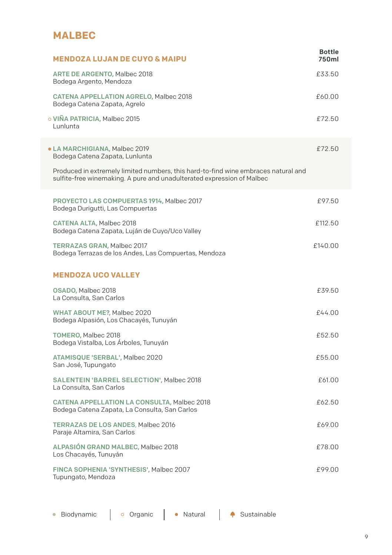### **MALBEC**

| <b>MENDOZA LUJAN DE CUYO &amp; MAIPU</b>                                                                                                                     | <b>Bottle</b><br>750ml |  |
|--------------------------------------------------------------------------------------------------------------------------------------------------------------|------------------------|--|
| ARTE DE ARGENTO, Malbec 2018<br>Bodega Argento, Mendoza                                                                                                      | £33.50                 |  |
| <b>CATENA APPELLATION AGRELO, Malbec 2018</b><br>Bodega Catena Zapata, Agrelo                                                                                | £60.00                 |  |
| o VIÑA PATRICIA, Malbec 2015<br>Lunlunta                                                                                                                     | £72.50                 |  |
| • LA MARCHIGIANA, Malbec 2019<br>Bodega Catena Zapata, Lunlunta                                                                                              | £72.50                 |  |
| Produced in extremely limited numbers, this hard-to-find wine embraces natural and<br>sulfite-free winemaking. A pure and unadulterated expression of Malbec |                        |  |
| PROYECTO LAS COMPUERTAS 1914, Malbec 2017<br>Bodega Durigutti, Las Compuertas                                                                                | £97.50                 |  |
| <b>CATENA ALTA, Malbec 2018</b><br>Bodega Catena Zapata, Luján de Cuyo/Uco Valley                                                                            | £112.50                |  |
| <b>TERRAZAS GRAN, Malbec 2017</b><br>Bodega Terrazas de los Andes, Las Compuertas, Mendoza                                                                   | £140.00                |  |
| <b>MENDOZA UCO VALLEY</b>                                                                                                                                    |                        |  |
| OSADO, Malbec 2018<br>La Consulta, San Carlos                                                                                                                | £39.50                 |  |
| WHAT ABOUT ME?, Malbec 2020<br>Bodega Alpasión, Los Chacayés, Tunuyán                                                                                        | £44.00                 |  |
| TOMERO, Malbec 2018<br>Bodega Vistalba, Los Árboles, Tunuyán                                                                                                 | £52.50                 |  |
| ATAMISQUE 'SERBAL', Malbec 2020<br>San José, Tupungato                                                                                                       | £55.00                 |  |
| <b>SALENTEIN 'BARREL SELECTION', Malbec 2018</b><br>La Consulta, San Carlos                                                                                  | £61.00                 |  |
| CATENA APPELLATION LA CONSULTA, Malbec 2018<br>Bodega Catena Zapata, La Consulta, San Carlos                                                                 | £62.50                 |  |
| <b>TERRAZAS DE LOS ANDES, Malbec 2016</b><br>Paraje Altamira, San Carlos                                                                                     | £69.00                 |  |
| ALPASIÓN GRAND MALBEC, Malbec 2018<br>Los Chacayés, Tunuyán                                                                                                  | £78.00                 |  |
| FINCA SOPHENIA 'SYNTHESIS', Malbec 2007<br>Tupungato, Mendoza                                                                                                | £99.00                 |  |
|                                                                                                                                                              |                        |  |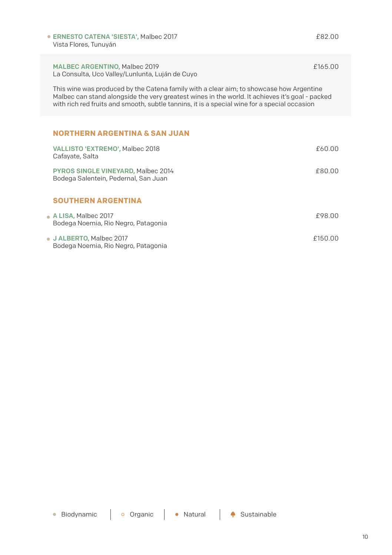ERNESTO CATENA 'SIESTA', Malbec 2017 Vista Flores, Tunuyán

#### MALBEC ARGENTINO, Malbec 2019

La Consulta, Uco Valley/Lunlunta, Luján de Cuyo

This wine was produced by the Catena family with a clear aim; to showcase how Argentine Malbec can stand alongside the very greatest wines in the world. It achieves it's goal - packed with rich red fruits and smooth, subtle tannins, it is a special wine for a special occasion

#### **NORTHERN ARGENTINA & SAN JUAN**

| VALLISTO 'EXTREMO', Malbec 2018<br>Cafayate, Salta                         | £60.00  |
|----------------------------------------------------------------------------|---------|
| PYROS SINGLE VINEYARD, Malbec 2014<br>Bodega Salentein, Pedernal, San Juan | £80.00  |
| <b>SOUTHERN ARGENTINA</b>                                                  |         |
| • A LISA, Malbec 2017<br>Bodega Noemia, Rio Negro, Patagonia               | £98.00  |
| • J ALBERTO, Malbec 2017<br>Bodega Noemia, Rio Negro, Patagonia            | £150.00 |

£82.00

£165.00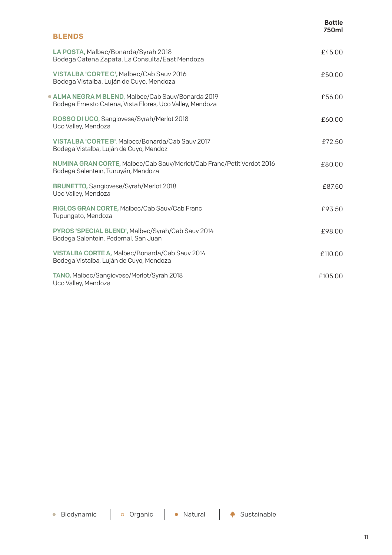|                                                                                                              | Bottle<br>750ml |
|--------------------------------------------------------------------------------------------------------------|-----------------|
| <b>BLENDS</b>                                                                                                |                 |
| LA POSTA, Malbec/Bonarda/Syrah 2018<br>Bodega Catena Zapata, La Consulta/East Mendoza                        | £45.00          |
| VISTALBA 'CORTE C', Malbec/Cab Sauv 2016<br>Bodega Vistalba, Luján de Cuyo, Mendoza                          | £50.00          |
| ALMA NEGRA M BLEND, Malbec/Cab Sauv/Bonarda 2019<br>Bodega Ernesto Catena, Vista Flores, Uco Valley, Mendoza | £56.00          |
| ROSSO DI UCO, Sangiovese/Syrah/Merlot 2018<br>Uco Valley, Mendoza                                            | £60.00          |
| VISTALBA 'CORTE B', Malbec/Bonarda/Cab Sauv 2017<br>Bodega Vistalba, Luján de Cuyo, Mendoz                   | £72.50          |
| NUMINA GRAN CORTE, Malbec/Cab Sauv/Merlot/Cab Franc/Petit Verdot 2016<br>Bodega Salentein, Tunuyán, Mendoza  | £80.00          |
| BRUNETTO, Sangiovese/Syrah/Merlot 2018<br>Uco Valley, Mendoza                                                | £87.50          |
| RIGLOS GRAN CORTE, Malbec/Cab Sauv/Cab Franc<br>Tupungato, Mendoza                                           | £93.50          |
| PYROS 'SPECIAL BLEND', Malbec/Syrah/Cab Sauv 2014<br>Bodega Salentein, Pedernal, San Juan                    | £98.00          |
| VISTALBA CORTE A, Malbec/Bonarda/Cab Sauv 2014<br>Bodega Vistalba, Luján de Cuyo, Mendoza                    | £110.00         |
| TANO, Malbec/Sangiovese/Merlot/Syrah 2018<br>Uco Valley, Mendoza                                             | £105.00         |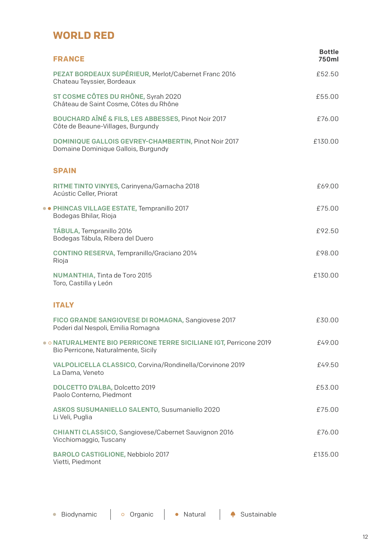#### **WORLD RED**

 $\overline{\mathbb{C}}$ 

 $\ddot{\phantom{1}}$ 

| <b>FRANCE</b>                                                                                           | <b>Bottle</b><br>750ml |
|---------------------------------------------------------------------------------------------------------|------------------------|
| PEZAT BORDEAUX SUPÉRIEUR, Merlot/Cabernet Franc 2016<br>Chateau Teyssier, Bordeaux                      | £52.50                 |
| ST COSME CÔTES DU RHÔNE, Syrah 2020<br>Château de Saint Cosme. Côtes du Rhône                           | £55.00                 |
| BOUCHARD AÎNÉ & FILS, LES ABBESSES, Pinot Noir 2017<br>Côte de Beaune-Villages, Burgundy                | £76.00                 |
| DOMINIQUE GALLOIS GEVREY-CHAMBERTIN, Pinot Noir 2017<br>Domaine Dominique Gallois, Burgundy             | £130.00                |
| <b>SPAIN</b>                                                                                            |                        |
| RITME TINTO VINYES, Carinyena/Garnacha 2018<br>Acústic Celler, Priorat                                  | £69.00                 |
| • PHINCAS VILLAGE ESTATE, Tempranillo 2017<br>Bodegas Bhilar, Rioja                                     | £75.00                 |
| TÁBULA, Tempranillo 2016<br>Bodegas Tábula, Ribera del Duero                                            | £92.50                 |
| CONTINO RESERVA, Tempranillo/Graciano 2014<br>Rioja                                                     | £98.00                 |
| NUMANTHIA, Tinta de Toro 2015<br>Toro, Castilla y León                                                  | £130.00                |
| <b>ITALY</b>                                                                                            |                        |
| FICO GRANDE SANGIOVESE DI ROMAGNA, Sangiovese 2017<br>Poderi dal Nespoli, Emilia Romagna                | £30.00                 |
| O NATURALMENTE BIO PERRICONE TERRE SICILIANE IGT, Perricone 2019<br>Bio Perricone, Naturalmente, Sicily | £49.00                 |
| VALPOLICELLA CLASSICO, Corvina/Rondinella/Corvinone 2019<br>La Dama, Veneto                             | £49.50                 |
| DOLCETTO D'ALBA, Dolcetto 2019<br>Paolo Conterno, Piedmont                                              | £53.00                 |
| ASKOS SUSUMANIELLO SALENTO, Susumaniello 2020<br>Li Veli, Puglia                                        | £75.00                 |
| <b>CHIANTI CLASSICO, Sangiovese/Cabernet Sauvignon 2016</b><br>Vicchiomaggio, Tuscany                   | £76.00                 |
| <b>BAROLO CASTIGLIONE, Nebbiolo 2017</b><br>Vietti, Piedmont                                            | £135.00                |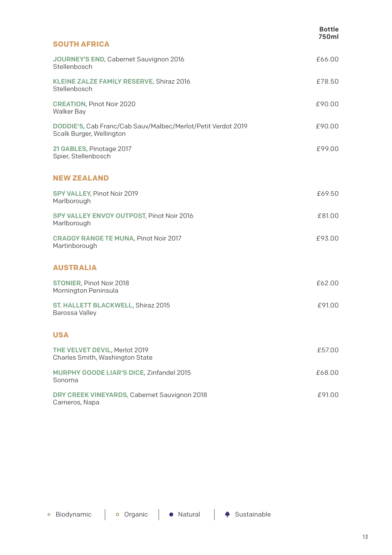|                                                                                          | <b>Bottle</b><br>750ml |
|------------------------------------------------------------------------------------------|------------------------|
| <b>SOUTH AFRICA</b>                                                                      |                        |
| JOURNEY'S END, Cabernet Sauvignon 2016<br>Stellenbosch                                   | £66.00                 |
| KLEINE ZALZE FAMILY RESERVE, Shiraz 2016<br>Stellenbosch                                 | £78.50                 |
| <b>CREATION, Pinot Noir 2020</b><br>Walker Bay                                           | £90.00                 |
| DODDIE'5, Cab Franc/Cab Sauv/Malbec/Merlot/Petit Verdot 2019<br>Scalk Burger, Wellington | £90.00                 |
| 21 GABLES, Pinotage 2017<br>Spier, Stellenbosch                                          | £99.00                 |
| <b>NEW ZEALAND</b>                                                                       |                        |
| SPY VALLEY, Pinot Noir 2019<br>Marlborough                                               | £69.50                 |
| SPY VALLEY ENVOY OUTPOST, Pinot Noir 2016<br>Marlborough                                 | £81.00                 |
| <b>CRAGGY RANGE TE MUNA, Pinot Noir 2017</b><br>Martinborough                            | £93.00                 |
| <b>AUSTRALIA</b>                                                                         |                        |
| <b>STONIER, Pinot Noir 2018</b><br>Mornington Peninsula                                  | £62.00                 |
| ST. HALLETT BLACKWELL, Shiraz 2015<br>Barossa Valley                                     | £91.00                 |
| <b>USA</b>                                                                               |                        |
| THE VELVET DEVIL, Merlot 2019<br>Charles Smith, Washington State                         | £57.00                 |
| MURPHY GOODE LIAR'S DICE, Zinfandel 2015<br>Sonoma                                       | £68.00                 |
| DRY CREEK VINEYARDS, Cabernet Sauvignon 2018<br>Carneros, Napa                           | £91.00                 |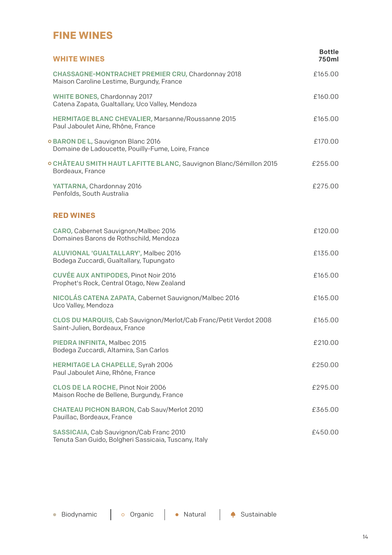### **FINE WINES**

| <b>WHITE WINES</b>                                                                                  | <b>Bottle</b><br>750ml |
|-----------------------------------------------------------------------------------------------------|------------------------|
| CHASSAGNE-MONTRACHET PREMIER CRU, Chardonnay 2018<br>Maison Caroline Lestime, Burgundy, France      | £165.00                |
| WHITE BONES, Chardonnay 2017<br>Catena Zapata, Gualtallary, Uco Valley, Mendoza                     | £160.00                |
| <b>HERMITAGE BLANC CHEVALIER, Marsanne/Roussanne 2015</b><br>Paul Jaboulet Aine, Rhône, France      | £165.00                |
| o BARON DE L, Sauvignon Blanc 2016<br>Domaine de Ladoucette, Pouilly-Fume, Loire, France            | £170.00                |
| ○ CHÂTEAU SMITH HAUT LAFITTE BLANC, Sauvignon Blanc/Sémillon 2015<br>Bordeaux, France               | £255.00                |
| YATTARNA, Chardonnay 2016<br>Penfolds, South Australia                                              | £275.00                |
| <b>RED WINES</b>                                                                                    |                        |
| CARO, Cabernet Sauvignon/Malbec 2016<br>Domaines Barons de Rothschild, Mendoza                      | £120.00                |
| ALUVIONAL 'GUALTALLARY', Malbec 2016<br>Bodega Zuccardi, Gualtallary, Tupungato                     | £135.00                |
| <b>CUVÉE AUX ANTIPODES, Pinot Noir 2016</b><br>Prophet's Rock, Central Otago, New Zealand           | £165.00                |
| NICOLÁS CATENA ZAPATA, Cabernet Sauvignon/Malbec 2016<br>Uco Valley, Mendoza                        | £165.00                |
| CLOS DU MARQUIS, Cab Sauvignon/Merlot/Cab Franc/Petit Verdot 2008<br>Saint-Julien, Bordeaux, France | £165.00                |
| PIEDRA INFINITA, Malbec 2015<br>Bodega Zuccardi, Altamira, San Carlos                               | £210.00                |
| <b>HERMITAGE LA CHAPELLE, Syrah 2006</b><br>Paul Jaboulet Aine, Rhône, France                       | £250.00                |
| CLOS DE LA ROCHE, Pinot Noir 2006<br>Maison Roche de Bellene, Burgundy, France                      | £295.00                |
| <b>CHATEAU PICHON BARON, Cab Sauv/Merlot 2010</b><br>Pauillac, Bordeaux, France                     | £365.00                |
| SASSICAIA, Cab Sauvignon/Cab Franc 2010<br>Tenuta San Guido, Bolgheri Sassicaia, Tuscany, Italy     | £450.00                |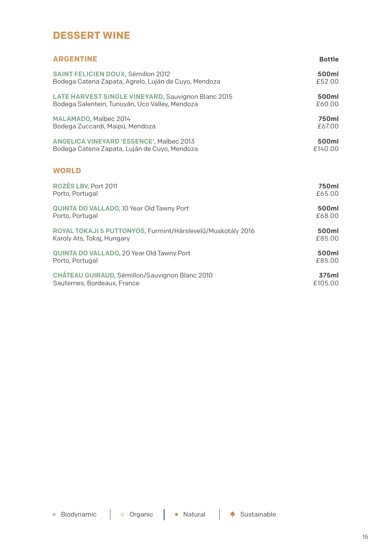#### **DESSERT WINE**

| <b>ARGENTINE</b>                                            | <b>Bottle</b> |
|-------------------------------------------------------------|---------------|
| SAINT FELICIEN DOUX, Sémillon 2012                          | 500ml         |
| Bodega Catena Zapata, Agrelo, Luján de Cuyo, Mendoza        | £52.00        |
| LATE HARVEST SINGLE VINEYARD, Sauvignon Blanc 2015          | 500ml         |
| Bodega Salentein, Tunuyán, Uco Valley, Mendoza              | £60.00        |
| MALAMADO, Malbec 2014                                       | 750ml         |
| Bodega Zuccardi, Maipú, Mendoza                             | £67.00        |
| ANGELICA VINEYARD 'ESSENCE', Malbec 2013                    | 500ml         |
| Bodega Catena Zapata, Luján de Cuyo, Mendoza                | £140.00       |
| <b>WORLD</b>                                                |               |
| ROZÈS LBV, Port 2011                                        | 750ml         |
| Porto, Portugal                                             | £65.00        |
| QUINTA DO VALLADO, 10 Year Old Tawny Port                   | 500ml         |
| Porto, Portugal                                             | £68.00        |
| ROYAL TOKAJI 5 PUTTONYOS, Furmint/Hárslevelű/Muskotály 2016 | 500ml         |
| Karoly Ats, Tokaj, Hungary                                  | £85.00        |
| QUINTA DO VALLADO, 20 Year Old Tawny Port                   | 500ml         |
| Porto, Portugal                                             | £85.00        |
| CHÂTEAU GUIRAUD, Sémillon/Sauvignon Blanc 2010              | 375ml         |
| Sauternes, Bordeaux, France                                 | £105.00       |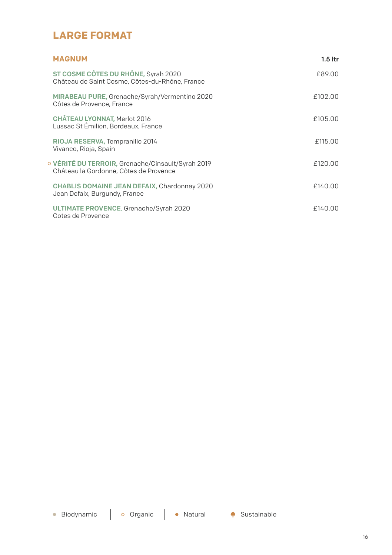### **LARGE FORMAT**

| <b>MAGNUM</b>                                                                             | $1.5$ ltr |
|-------------------------------------------------------------------------------------------|-----------|
| ST COSME CÔTES DU RHÔNE, Syrah 2020<br>Château de Saint Cosme, Côtes-du-Rhône, France     | £89.00    |
| MIRABEAU PURE, Grenache/Syrah/Vermentino 2020<br>Côtes de Provence, France                | £102.00   |
| CHÂTEAU LYONNAT, Merlot 2016<br>Lussac St Émilion, Bordeaux, France                       | £105.00   |
| RIOJA RESERVA, Tempranillo 2014<br>Vivanco, Rioja, Spain                                  | £115.00   |
| VÉRITÉ DU TERROIR, Grenache/Cinsault/Syrah 2019<br>Château la Gordonne, Côtes de Provence | £120.00   |
| CHABLIS DOMAINE JEAN DEFAIX, Chardonnay 2020<br>Jean Defaix, Burgundy, France             | £140.00   |
| ULTIMATE PROVENCE, Grenache/Syrah 2020<br>Cotes de Provence                               | £140.00   |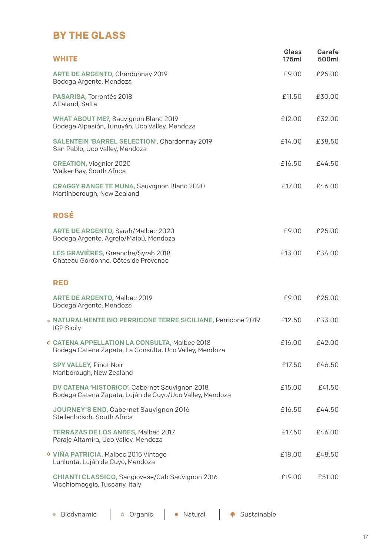### **BY THE GLASS**

| <b>WHITE</b>                                                                                              | Glass<br>175ml | Carafe<br>500ml |
|-----------------------------------------------------------------------------------------------------------|----------------|-----------------|
| ARTE DE ARGENTO, Chardonnay 2019<br>Bodega Argento, Mendoza                                               | £9.00          | £25.00          |
| PASARISA, Torrontés 2018<br>Altaland, Salta                                                               | £11.50         | £30.00          |
| WHAT ABOUT ME?, Sauvignon Blanc 2019<br>Bodega Alpasión, Tunuyán, Uco Valley, Mendoza                     | £12.00         | £32.00          |
| SALENTEIN 'BARREL SELECTION', Chardonnay 2019<br>San Pablo, Uco Valley, Mendoza                           | £14.00         | £38.50          |
| <b>CREATION, Viognier 2020</b><br>Walker Bay, South Africa                                                | £16.50         | £44.50          |
| <b>CRAGGY RANGE TE MUNA, Sauvignon Blanc 2020</b><br>Martinborough, New Zealand                           | £17.00         | £46.00          |
| ROSÉ                                                                                                      |                |                 |
| ARTE DE ARGENTO, Syrah/Malbec 2020<br>Bodega Argento, Agrelo/Maipú, Mendoza                               | £9.00          | £25.00          |
| LES GRAVIÈRES, Greanche/Syrah 2018<br>Chateau Gordonne, Côtes de Provence                                 | £13.00         | £34.00          |
| RED                                                                                                       |                |                 |
| <b>ARTE DE ARGENTO, Malbec 2019</b><br>Bodega Argento, Mendoza                                            | £9.00          | £25.00          |
| . NATURALMENTE BIO PERRICONE TERRE SICILIANE, Perricone 2019<br><b>IGP Sicily</b>                         | £12.50         | £33.00          |
| o CATENA APPELLATION LA CONSULTA, Malbec 2018<br>Bodega Catena Zapata, La Consulta, Uco Valley, Mendoza   | £16.00         | £42.00          |
| SPY VALLEY, Pinot Noir<br>Marlborough, New Zealand                                                        | £17.50         | £46.50          |
| DV CATENA 'HISTORICO', Cabernet Sauvignon 2018<br>Bodega Catena Zapata, Luján de Cuyo/Uco Valley, Mendoza | £15.00         | £41.50          |
| JOURNEY'S END, Cabernet Sauvignon 2016<br>Stellenbosch, South Africa                                      | £16.50         | £44.50          |
| <b>TERRAZAS DE LOS ANDES, Malbec 2017</b><br>Paraje Altamira, Uco Valley, Mendoza                         | £17.50         | £46.00          |
| O VIÑA PATRICIA, Malbec 2015 Vintage<br>Lunlunta, Luján de Cuyo, Mendoza                                  | £18.00         | £48.50          |
| CHIANTI CLASSICO, Sangiovese/Cab Sauvignon 2016<br>Vicchiomaggio, Tuscany, Italy                          | £19.00         | £51.00          |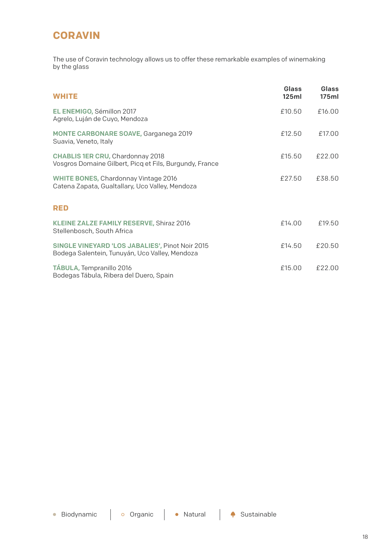## **CORAVIN**

The use of Coravin technology allows us to offer these remarkable examples of winemaking by the glass

| <b>WHITE</b>                                                                                      | Glass<br>125ml | Glass<br>175ml |
|---------------------------------------------------------------------------------------------------|----------------|----------------|
| EL ENEMIGO, Sémillon 2017<br>Agrelo, Luján de Cuyo, Mendoza                                       | £10.50         | £16.00         |
| <b>MONTE CARBONARE SOAVE, Garganega 2019</b><br>Suavia, Veneto, Italy                             | £12.50         | £17.00         |
| CHABLIS 1ER CRU, Chardonnay 2018<br>Vosgros Domaine Gilbert, Picg et Fils, Burgundy, France       | £15.50         | £22.00         |
| WHITE BONES, Chardonnay Vintage 2016<br>Catena Zapata, Gualtallary, Uco Valley, Mendoza           | £27.50         | £38.50         |
| <b>RED</b>                                                                                        |                |                |
| KLEINE ZALZE FAMILY RESERVE, Shiraz 2016<br>Stellenbosch, South Africa                            | £14.00         | £19.50         |
| SINGLE VINEYARD 'LOS JABALIES', Pinot Noir 2015<br>Bodega Salentein, Tunuyán, Uco Valley, Mendoza | £14.50         | £20.50         |
| TÁBULA, Tempranillo 2016<br>Bodegas Tábula, Ribera del Duero, Spain                               | £15.00         | £22.00         |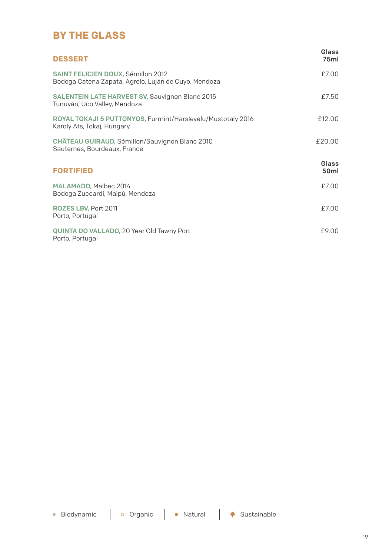### **BY THE GLASS**

| <b>DESSERT</b>                                                                             | Glass<br>75ml             |
|--------------------------------------------------------------------------------------------|---------------------------|
| SAINT FELICIEN DOUX, Sémillon 2012<br>Bodega Catena Zapata, Agrelo, Luján de Cuyo, Mendoza | £7.00                     |
| <b>SALENTEIN LATE HARVEST SV, Sauvignon Blanc 2015</b><br>Tunuyán, Uco Valley, Mendoza     | f750                      |
| ROYAL TOKAJI 5 PUTTONYOS, Furmint/Harslevelu/Mustotaly 2016<br>Karoly Ats, Tokaj, Hungary  | £12.00                    |
| CHÂTEAU GUIRAUD, Sémillon/Sauvignon Blanc 2010<br>Sauternes, Bourdeaux, France             | £20.00                    |
| <b>FORTIFIED</b>                                                                           | Glass<br>50 <sub>ml</sub> |
| MALAMADO, Malbec 2014<br>Bodega Zuccardi, Maipú, Mendoza                                   | £7.00                     |
| ROZES LBV, Port 2011<br>Porto, Portugal                                                    | f700                      |
| QUINTA DO VALLADO, 20 Year Old Tawny Port<br>Porto, Portugal                               | £9.00                     |